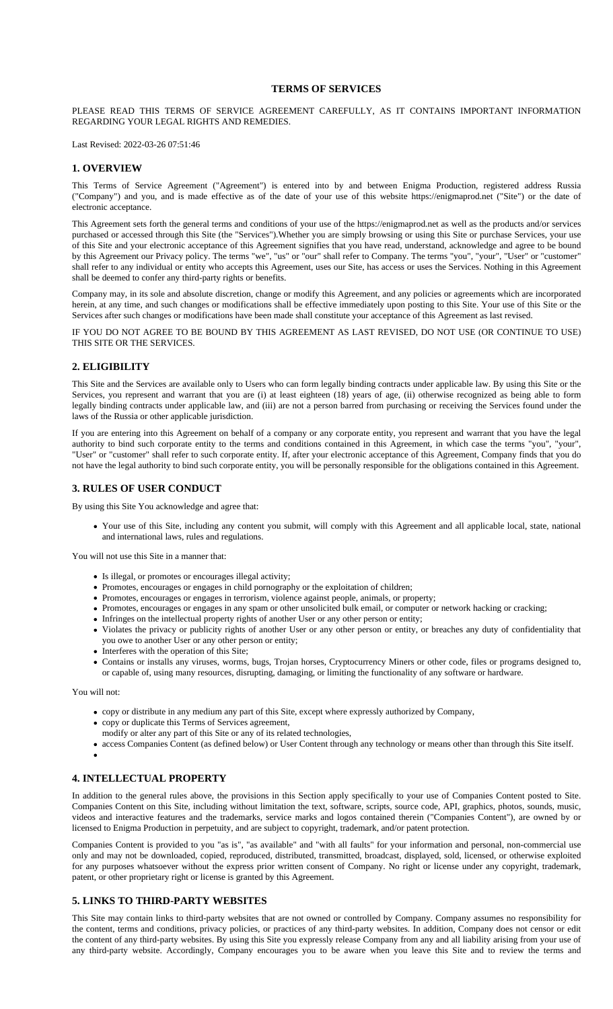## **TERMS OF SERVICES**

#### PLEASE READ THIS TERMS OF SERVICE AGREEMENT CAREFULLY, AS IT CONTAINS IMPORTANT INFORMATION REGARDING YOUR LEGAL RIGHTS AND REMEDIES.

Last Revised: 2022-03-26 07:51:46

## **1. OVERVIEW**

This Terms of Service Agreement ("Agreement") is entered into by and between Enigma Production, registered address Russia ("Company") and you, and is made effective as of the date of your use of this website https://enigmaprod.net ("Site") or the date of electronic acceptance.

This Agreement sets forth the general terms and conditions of your use of the https://enigmaprod.net as well as the products and/or services purchased or accessed through this Site (the "Services").Whether you are simply browsing or using this Site or purchase Services, your use of this Site and your electronic acceptance of this Agreement signifies that you have read, understand, acknowledge and agree to be bound by this Agreement our Privacy policy. The terms "we", "us" or "our" shall refer to Company. The terms "you", "your", "User" or "customer" shall refer to any individual or entity who accepts this Agreement, uses our Site, has access or uses the Services. Nothing in this Agreement shall be deemed to confer any third-party rights or benefits.

Company may, in its sole and absolute discretion, change or modify this Agreement, and any policies or agreements which are incorporated herein, at any time, and such changes or modifications shall be effective immediately upon posting to this Site. Your use of this Site or the Services after such changes or modifications have been made shall constitute your acceptance of this Agreement as last revised.

IF YOU DO NOT AGREE TO BE BOUND BY THIS AGREEMENT AS LAST REVISED, DO NOT USE (OR CONTINUE TO USE) THIS SITE OR THE SERVICES.

## **2. ELIGIBILITY**

This Site and the Services are available only to Users who can form legally binding contracts under applicable law. By using this Site or the Services, you represent and warrant that you are (i) at least eighteen (18) years of age, (ii) otherwise recognized as being able to form legally binding contracts under applicable law, and (iii) are not a person barred from purchasing or receiving the Services found under the laws of the Russia or other applicable jurisdiction.

If you are entering into this Agreement on behalf of a company or any corporate entity, you represent and warrant that you have the legal authority to bind such corporate entity to the terms and conditions contained in this Agreement, in which case the terms "you", "your", "User" or "customer" shall refer to such corporate entity. If, after your electronic acceptance of this Agreement, Company finds that you do not have the legal authority to bind such corporate entity, you will be personally responsible for the obligations contained in this Agreement.

#### **3. RULES OF USER CONDUCT**

By using this Site You acknowledge and agree that:

Your use of this Site, including any content you submit, will comply with this Agreement and all applicable local, state, national and international laws, rules and regulations.

You will not use this Site in a manner that:

- Is illegal, or promotes or encourages illegal activity;
- Promotes, encourages or engages in child pornography or the exploitation of children;
- Promotes, encourages or engages in terrorism, violence against people, animals, or property;
- Promotes, encourages or engages in any spam or other unsolicited bulk email, or computer or network hacking or cracking;
- Infringes on the intellectual property rights of another User or any other person or entity;
- Violates the privacy or publicity rights of another User or any other person or entity, or breaches any duty of confidentiality that you owe to another User or any other person or entity;
- Interferes with the operation of this Site;
- Contains or installs any viruses, worms, bugs, Trojan horses, Cryptocurrency Miners or other code, files or programs designed to, or capable of, using many resources, disrupting, damaging, or limiting the functionality of any software or hardware.

You will not:

- copy or distribute in any medium any part of this Site, except where expressly authorized by Company,
- copy or duplicate this Terms of Services agreement,
- [modify or alter any pa](https://termshub.io/terms-of-service?utm_source=referral&utm_medium=generated_documents&utm_campaign=referral_documents&utm_content=tos_th_text)rt of this Site or any of its related technologies,
- access Companies Content (as defined below) or User Content through any technology or means other than through this Site itself.
- 

# **4. INTELLECTUAL PROPERTY**

In addition to the general rules above, the provisions in this Section apply specifically to your use of Companies Content posted to Site. Companies Content on this Site, including without limitation the text, software, scripts, source code, API, graphics, photos, sounds, music, videos and interactive features and the trademarks, service marks and logos contained therein ("Companies Content"), are owned by or licensed to Enigma Production in perpetuity, and are subject to copyright, trademark, and/or patent protection.

Companies Content is provided to you "as is", "as available" and "with all faults" for your information and personal, non-commercial use only and may not be downloaded, copied, reproduced, distributed, transmitted, broadcast, displayed, sold, licensed, or otherwise exploited for any purposes whatsoever without the express prior written consent of Company. No right or license under any copyright, trademark, patent, or other proprietary right or license is granted by this Agreement.

### **5. LINKS TO THIRD-PARTY WEBSITES**

This Site may contain links to third-party websites that are not owned or controlled by Company. Company assumes no responsibility for the content, terms and conditions, privacy policies, or practices of any third-party websites. In addition, Company does not censor or edit the content of any third-party websites. By using this Site you expressly release Company from any and all liability arising from your use of any third-party website. Accordingly, Company encourages you to be aware when you leave this Site and to review the terms and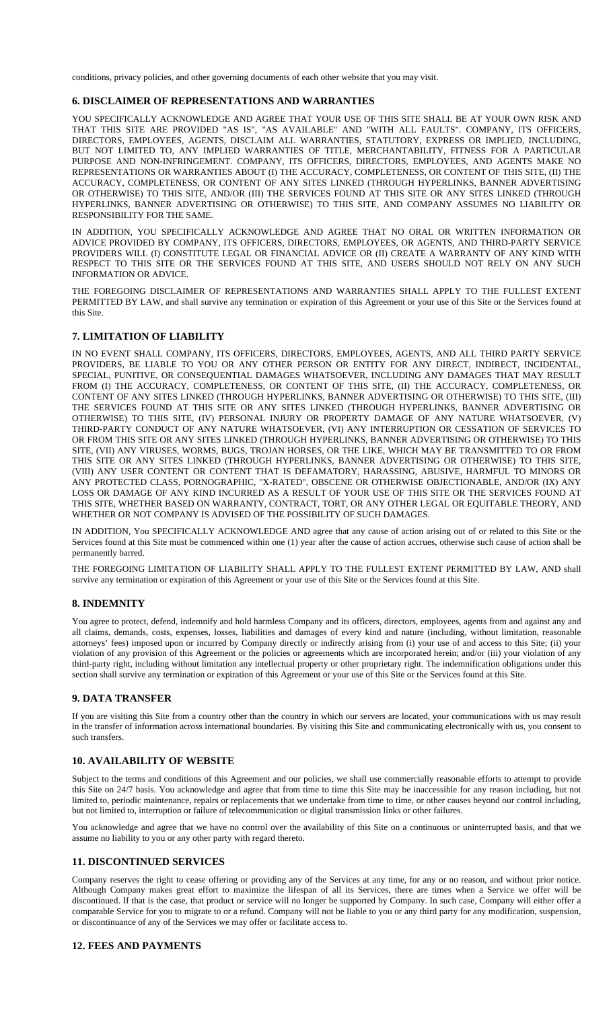conditions, privacy policies, and other governing documents of each other website that you may visit.

#### **6. DISCLAIMER OF REPRESENTATIONS AND WARRANTIES**

YOU SPECIFICALLY ACKNOWLEDGE AND AGREE THAT YOUR USE OF THIS SITE SHALL BE AT YOUR OWN RISK AND THAT THIS SITE ARE PROVIDED "AS IS", "AS AVAILABLE" AND "WITH ALL FAULTS". COMPANY, ITS OFFICERS, DIRECTORS, EMPLOYEES, AGENTS, DISCLAIM ALL WARRANTIES, STATUTORY, EXPRESS OR IMPLIED, INCLUDING, BUT NOT LIMITED TO, ANY IMPLIED WARRANTIES OF TITLE, MERCHANTABILITY, FITNESS FOR A PARTICULAR PURPOSE AND NON-INFRINGEMENT. COMPANY, ITS OFFICERS, DIRECTORS, EMPLOYEES, AND AGENTS MAKE NO REPRESENTATIONS OR WARRANTIES ABOUT (I) THE ACCURACY, COMPLETENESS, OR CONTENT OF THIS SITE, (II) THE ACCURACY, COMPLETENESS, OR CONTENT OF ANY SITES LINKED (THROUGH HYPERLINKS, BANNER ADVERTISING OR OTHERWISE) TO THIS SITE, AND/OR (III) THE SERVICES FOUND AT THIS SITE OR ANY SITES LINKED (THROUGH HYPERLINKS, BANNER ADVERTISING OR OTHERWISE) TO THIS SITE, AND COMPANY ASSUMES NO LIABILITY OR RESPONSIBILITY FOR THE SAME.

IN ADDITION, YOU SPECIFICALLY ACKNOWLEDGE AND AGREE THAT NO ORAL OR WRITTEN INFORMATION OR ADVICE PROVIDED BY COMPANY, ITS OFFICERS, DIRECTORS, EMPLOYEES, OR AGENTS, AND THIRD-PARTY SERVICE PROVIDERS WILL (I) CONSTITUTE LEGAL OR FINANCIAL ADVICE OR (II) CREATE A WARRANTY OF ANY KIND WITH RESPECT TO THIS SITE OR THE SERVICES FOUND AT THIS SITE, AND USERS SHOULD NOT RELY ON ANY SUCH INFORMATION OR ADVICE.

THE FOREGOING DISCLAIMER OF REPRESENTATIONS AND WARRANTIES SHALL APPLY TO THE FULLEST EXTENT PERMITTED BY LAW, and shall survive any termination or expiration of this Agreement or your use of this Site or the Services found at this Site.

#### **7. LIMITATION OF LIABILITY**

IN NO EVENT SHALL COMPANY, ITS OFFICERS, DIRECTORS, EMPLOYEES, AGENTS, AND ALL THIRD PARTY SERVICE PROVIDERS, BE LIABLE TO YOU OR ANY OTHER PERSON OR ENTITY FOR ANY DIRECT, INDIRECT, INCIDENTAL, SPECIAL, PUNITIVE, OR CONSEQUENTIAL DAMAGES WHATSOEVER, INCLUDING ANY DAMAGES THAT MAY RESULT FROM (I) THE ACCURACY, COMPLETENESS, OR CONTENT OF THIS SITE, (II) THE ACCURACY, COMPLETENESS, OR CONTENT OF ANY SITES LINKED (THROUGH HYPERLINKS, BANNER ADVERTISING OR OTHERWISE) TO THIS SITE, (III) THE SERVICES FOUND AT THIS SITE OR ANY SITES LINKED (THROUGH HYPERLINKS, BANNER ADVERTISING OR OTHERWISE) TO THIS SITE, (IV) PERSONAL INJURY OR PROPERTY DAMAGE OF ANY NATURE WHATSOEVER, (V) THIRD-PARTY CONDUCT OF ANY NATURE WHATSOEVER, (VI) ANY INTERRUPTION OR CESSATION OF SERVICES TO OR FROM THIS SITE OR ANY SITES LINKED (THROUGH HYPERLINKS, BANNER ADVERTISING OR OTHERWISE) TO THIS SITE, (VII) ANY VIRUSES, WORMS, BUGS, TROJAN HORSES, OR THE LIKE, WHICH MAY BE TRANSMITTED TO OR FROM THIS SITE OR ANY SITES LINKED (THROUGH HYPERLINKS, BANNER ADVERTISING OR OTHERWISE) TO THIS SITE, (VIII) ANY USER CONTENT OR CONTENT THAT IS DEFAMATORY, HARASSING, ABUSIVE, HARMFUL TO MINORS OR ANY PROTECTED CLASS, PORNOGRAPHIC, "X-RATED", OBSCENE OR OTHERWISE OBJECTIONABLE, AND/OR (IX) ANY LOSS OR DAMAGE OF ANY KIND INCURRED AS A RESULT OF YOUR USE OF THIS SITE OR THE SERVICES FOUND AT THIS SITE, WHETHER BASED ON WARRANTY, CONTRACT, TORT, OR ANY OTHER LEGAL OR EQUITABLE THEORY, AND WHETHER OR NOT COMPANY IS ADVISED OF THE POSSIBILITY OF SUCH DAMAGES.

IN ADDITION, You SPECIFICALLY ACKNOWLEDGE AND agree that any cause of action arising out of or related to this Site or the Services found at this Site must be commenced within one (1) year after the cause of action accrues, otherwise such cause of action shall be permanently barred.

THE FOREGOING LIMITATION OF LIABILITY SHALL APPLY TO THE FULLEST EXTENT PERMITTED BY LAW, AND shall survive any termination or expiration of this Agreement or your use of this Site or the Services found at this Site.

### **8. INDEMNITY**

You agree to protect, defend, indemnify and hold harmless Company and its officers, directors, employees, agents from and against any and all claims, demands, costs, expenses, losses, liabilities and damages of every kind and nature (including, without limitation, reasonable attorneys' fees) imposed upon or incurred by Company directly or indirectly arising from (i) your use of and access to this Site; (ii) your violation of any provision of this Agreement or the policies or agreements which are incorporated herein; and/or (iii) your violation of any third-party right, including without limitation any intellectual property or other proprietary right. The indemnification obligations under this section shall survive any termination or expiration of this Agreement or your use of this Site or the Services found at this Site.

#### **9. DATA TRANSFER**

If you are visiting this Site from a country other than the country in which our servers are located, your communications with us may result in the transfer of information across international boundaries. By visiting this Site and communicating electronically with us, you consent to such transfers.

## **10. AVAILABILITY OF WEBSITE**

Subject to the terms and conditions of this Agreement and our policies, we shall use commercially reasonable efforts to attempt to provide this Site on 24/7 basis. You acknowledge and agree that from time to time this Site may be inaccessible for any reason including, but not limited to, periodic maintenance, repairs or replacements that we undertake from time to time, or other causes beyond our control including, but not limited to, interruption or failure of telecommunication or digital transmission links or other failures.

You acknowledge and agree that we have no control over the availability of this Site on a continuous or uninterrupted basis, and that we assume no liability to you or any other party with regard thereto.

#### **11. DISCONTINUED SERVICES**

Company reserves the right to cease offering or providing any of the Services at any time, for any or no reason, and without prior notice. Although Company makes great effort to maximize the lifespan of all its Services, there are times when a Service we offer will be discontinued. If that is the case, that product or service will no longer be supported by Company. In such case, Company will either offer a comparable Service for you to migrate to or a refund. Company will not be liable to you or any third party for any modification, suspension, or discontinuance of any of the Services we may offer or facilitate access to.

## **12. FEES AND PAYMENTS**